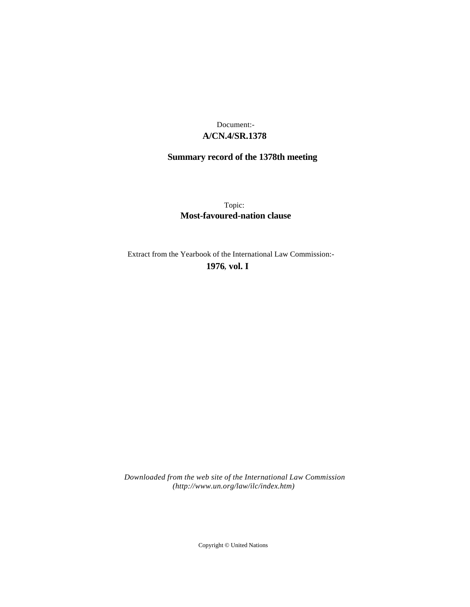# **A/CN.4/SR.1378** Document:-

# **Summary record of the 1378th meeting**

Topic: **Most-favoured-nation clause**

Extract from the Yearbook of the International Law Commission:-

**1976** , **vol. I**

*Downloaded from the web site of the International Law Commission (http://www.un.org/law/ilc/index.htm)*

Copyright © United Nations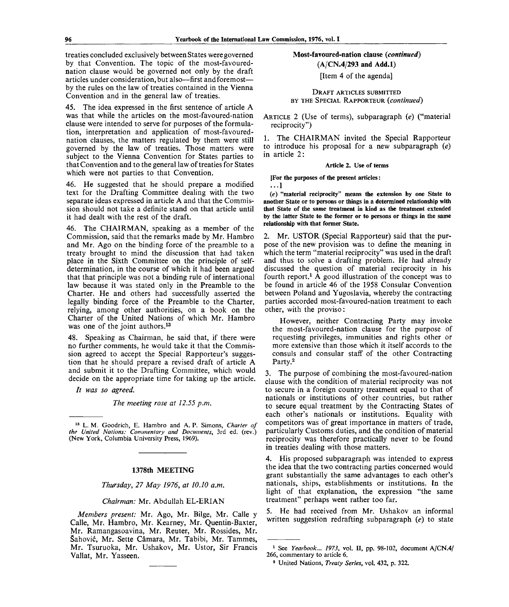treaties concluded exclusively between States were governed by that Convention. The topic of the most-favourednation clause would be governed not only by the draft articles under consideration, but also—first and foremost by the rules on the law of treaties contained in the Vienna Convention and in the general law of treaties.

45. The idea expressed in the first sentence of article A was that while the articles on the most-favoured-nation clause were intended to serve for purposes of the formulation, interpretation and application of most-favourednation clauses, the matters regulated by them were still governed by the law of treaties. Those matters were subject to the Vienna Convention for States parties to that Convention and to the general law of treaties for States which were not parties to that Convention.

46. He suggested that he should prepare a modified text for the Drafting Committee dealing with the two separate ideas expressed in article A and that the Commission should not take a definite stand on that article until it had dealt with the rest of the draft.

46. The CHAIRMAN, speaking as a member of the Commission, said that the remarks made by Mr. Hambro and Mr. Ago on the binding force of the preamble to a treaty brought to mind the discussion that had taken place in the Sixth Committee on the principle of selfdetermination, in the course of which it had been argued that that principle was not a binding rule of international law because it was stated only in the Preamble to the Charter. He and others had successfully asserted the legally binding force of the Preamble to the Charter, relying, among other authorities, on a book on the Charter of the United Nations of which Mr. Hambro was one of the joint authors.<sup>13</sup>

48. Speaking as Chairman, he said that, if there were no further comments, he would take it that the Commission agreed to accept the Special Rapporteur's suggestion that he should prepare a revised draft of article A and submit it to the Drafting Committee, which would decide on the appropriate time for taking up the article.

// *was so agreed.*

*The meeting rose at 12.55 p.m.*

13  **L. M.** Goodrich, E. Hambro and A. P. Simons, *Charter of the United Nations: Commentary and Documents,* 3rd ed. (rev.) (New York, Columbia University Press, 1969).

#### **1378th MEETING**

*Thursday, 27 May 1976, at 10.10 a.m.*

#### *Chairman:* Mr. Abdullah EL-ERIAN

*Members present:* Mr. Ago, Mr. Bilge, Mr. Calle y Calle, Mr. Hambro, Mr. Kearney, Mr. Quentin-Baxter, Mr. Ramangasoavina, Mr. Reuter, Mr. Rossides, Mr. Sahovic, Mr. Sette Camara, Mr. Tabibi, Mr. Tammes, Mr. Tsuruoka, Mr. Ushakov, Mr. Ustor, Sir Francis Vallat, Mr. Yasseen.

## **Most-favoured-nation clause** *(continued)* **(A/CN.4/293 and Add.l)**

[Item 4 of the agenda]

#### DRAFT ARTICLES SUBMITTED BY THE SPECIAL RAPPORTEUR *(continued)*

ARTICLE 2 (Use of terms), subparagraph *(e)* ("material reciprocity")

1. The CHAIRMAN invited the Special Rapporteur to introduce his proposal for a new subparagraph *(e)* in article 2:

#### Article 2. Use of terms

[For the purposes of the present articles:

**...1**

*(e)* **"material reciprocity" means the extension by one State to another State or to persons or things in a determined relationship with that State of the same treatment in kind as the treatment extended by the latter State to the former or to persons or things in the same relationship with that former State.**

2. Mr. USTOR (Special Rapporteur) said that the purpose of the new provision was to define the meaning in which the term "material reciprocity" was used in the draft and thus to solve a drafting problem. He had already discussed the question of material reciprocity in his fourth report.<sup>1</sup> A good illustration of the concept was to be found in article 46 of the 1958 Consular Convention between Poland and Yugoslavia, whereby the contracting parties accorded most-favoured-nation treatment to each other, with the proviso:

However, neither Contracting Party may invoke the most-favoured-nation clause for the purpose of requesting privileges, immunities and rights other or more extensive than those which it itself accords to the consuls and consular staff of the other Contracting Party.<sup>2</sup>

3. The purpose of combining the most-favoured-nation clause with the condition of material reciprocity was not to secure in a foreign country treatment equal to that of nationals or institutions of other countries, but rather to secure equal treatment by the Contracting States of each other's nationals or institutions. Equality with competitors was of great importance in matters of trade, particularly Customs duties, and the condition of material reciprocity was therefore practically never to be found in treaties dealing with those matters.

4. His proposed subparagraph was intended to express the idea that the two contracting parties concerned would grant substantially the same advantages to each other's nationals, ships, establishments or institutions. In the light of that explanation, the expression "the same treatment" perhaps went rather too far.

5. He had received from Mr. Ushakov an informal written suggestion redrafting subparagraph *(e)* to state

<sup>1</sup> See *Yearbook... 1973,* vol. II, pp. 98-102, document A/CN.4/ 266, commentary to article 6.

<sup>2</sup> United Nations, *Treaty Series,* **vol.** 432, p. 322.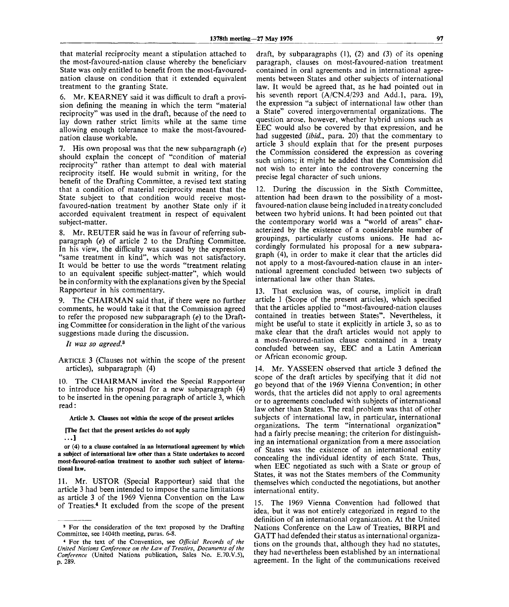that material reciprocity meant a stipulation attached to the most-favoured-nation clause whereby the beneficiary State was only entitled to benefit from the most-favourednation clause on condition that it extended equivalent treatment to the granting State.

6. Mr. KEARNEY said it was difficult to draft a provision defining the meaning in which the term "material" reciprocity" was used in the draft, because of the need to lay down rather strict limits while at the same time allowing enough tolerance to make the most-favourednation clause workable.

7. His own proposal was that the new subparagraph *(e)* should explain the concept of "condition of material reciprocity" rather than attempt to deal with material reciprocity itself. He would submit in writing, for the benefit of the Drafting Committee, a revised text stating that a condition of material reciprocity meant that the State subject to that condition would receive mostfavoured-nation treatment by another State only if it accorded equivalent treatment in respect of equivalent subject-matter.

8. Mr. REUTER said he was in favour of referring subparagraph *(e)* of article 2 to the Drafting Committee. In his view, the difficulty was caused by the expression "same treatment in kind", which was not satisfactory. It would be better to use the words "treatment relating to an equivalent specific subject-matter", which would be in conformity with the explanations given by the Special Rapporteur in his commentary.

9. The CHAIRMAN said that, if there were no further comments, he would take it that the Commission agreed to refer the proposed new subparagraph *(e)* to the Drafting Committee for consideration in the light of the various suggestions made during the discussion.

*It was so agreed.<sup>3</sup>*

ARTICLE 3 (Clauses not within the scope of the present articles), subparagraph (4)

10. The CHAIRMAN invited the Special Rapporteur to introduce his proposal for a new subparagraph (4) to be inserted in the opening paragraph of article 3, which read:

**Article 3. Clauses not within the scope of the present articles**

**[The fact that the present articles do not apply**

**. . ]**

**or (4) to a clause contained in an international agreement by which a subject of international law other than a State undertakes to accord most-favoured-nation treatment to another such subject of international law.**

11. Mr. USTOR (Special Rapporteur) said that the article 3 had been intended to impose the same limitations as article 3 of the 1969 Vienna Convention on the Law of Treaties.<sup>4</sup> It excluded from the scope of the present

draft, by subparagraphs (1), (2) and (3) of its opening paragraph, clauses on most-favoured-nation treatment contained in oral agreements and in international agreements between States and other subjects of international law. It would be agreed that, as he had pointed out in his seventh report (A/CN.4/293 and Add.l, para. 19), the expression "a subject of international law other than a State" covered intergovernmental organizations. The question arose, however, whether hybrid unions such as EEC would also be covered by that expression, and he had suggested *{ibid.,* para. 20) that the commentary to article 3 should explain that for the present purposes the Commission considered the expression as covering such unions; it might be added that the Commission did not wish to enter into the controversy concerning the precise legal character of such unions.

12. During the discussion in the Sixth Committee, attention had been drawn to the possibility of a mostfavoured-nation clause being included in a treaty concluded between two hybrid unions. It had been pointed out that the contemporary world was a "world of areas" characterized by the existence of a considerable number of groupings, particularly customs unions. He had accordingly formulated his proposal for a new subparagraph (4), in order to make it clear that the articles did not apply to a most-favoured-nation clause in an international agreement concluded between two subjects of international law other than States.

13. That exclusion was, of course, implicit in draft article 1 (Scope of the present articles), which specified that the articles applied to "most-favoured-nation clauses contained in treaties between States". Nevertheless, it might be useful to state it explicitly in article 3, so as to make clear that the draft articles would not apply to a most-favoured-nation clause contained in a treaty concluded between say, EEC and a Latin American or African economic group.

14. Mr. YASSEEN observed that article 3 defined the scope of the draft articles by specifying that it did not go beyond that of the 1969 Vienna Convention; in other words, that the articles did not apply to oral agreements or to agreements concluded with subjects of international law other than States. The real problem was that of other subjects of international law, in particular, international organizations. The term "international organization" had a fairly precise meaning; the criterion for distinguishing an international organization from a mere association of States was the existence of an international entity concealing the individual identity of each State. Thus, when EEC negotiated as such with a State or group of States, it was not the States members of the Community themselves which conducted the negotiations, but another international entity.

15. The 1969 Vienna Convention had followed that idea, but it was not entirely categorized in regard to the definition of an international organization. At the United Nations Conference on the Law of Treaties, BIRPI and GATT had defended their status as international organizations on the grounds that, although they had no statutes, they had nevertheless been established by an international agreement. In the light of the communications received

<sup>&</sup>lt;sup>3</sup> For the consideration of the text proposed by the Drafting Committee, see 1404th meeting, paras. 6-8.

<sup>4</sup> For the text of the Convention, see *Official Records of the United Nations Conference on the Law of Treaties, Documents of the Conference* (United Nations publication, Sales No. E.70.V.5), p. 289.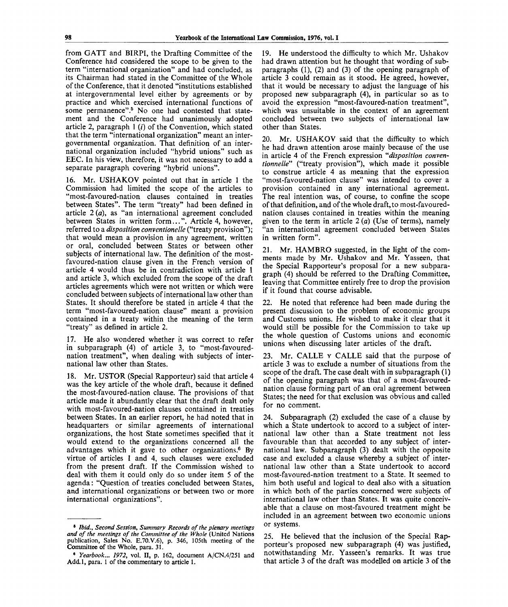from GATT and BIRPI, the Drafting Committee of the Conference had considered the scope to be given to the term "international organization" and had concluded, as its Chairman had stated in the Committee of the Whole of the Conference, that it denoted "institutions established at intergovernmental level either by agreements or by practice and which exercised international functions of some permanence".<sup>5</sup> No one had contested that statement and the Conference had unanimously adopted article 2, paragraph  $1(i)$  of the Convention, which stated that the term "international organization" meant an intergovernmental organization. That definition of an international organization included "hybrid unions" such as EEC. In his view, therefore, it was not necessary to add a separate paragraph covering "hybrid unions".

16. Mr. USHAKOV pointed out that in article 1 the Commission had limited the scope of the articles to "most-favoured-nation clauses contained in treaties between States". The term "treaty" had been defined in article 2 *(a),* as "an international agreement concluded between States in written form...". Article 4, however, referred to a *disposition conventionelle* ("treaty provision"); that would mean a provision in any agreement, written or oral, concluded between States or between other subjects of international law. The definition of the mostfavoured-nation clause given in the French version of article 4 would thus be in contradiction with article 1 and article 3, which excluded from the scope of the draft articles agreements which were not written or which were concluded between subjects of international law other than States. It should therefore be stated in article 4 that the term "most-favoured-nation clause" meant a provision contained in a treaty within the meaning of the term "treaty" as defined in article 2.

17. He also wondered whether it was correct to refer in subparagraph (4) of article 3, to "most-favourednation treatment", when dealing with subjects of international law other than States.

18. Mr. USTOR (Special Rapporteur) said that article 4 was the key article of the whole draft, because it defined the most-favoured-nation clause. The provisions of that article made it abundantly clear that the draft dealt only with most-favoured-nation clauses contained in treaties between States. In an earlier report, he had noted that in headquarters or similar agreements of international organizations, the host State sometimes specified that it would extend to the organizations concerned all the advantages which it gave to other organizations.<sup>6</sup> By virtue of articles 1 and 4, such clauses were excluded from the present draft. If the Commission wished to deal with them it could only do so under item 5 of the agenda: "Question of treaties concluded between States, and international organizations or between two or more international organizations".

19. He understood the difficulty to which Mr. Ushakov had drawn attention but he thought that wording of subparagraphs (1), (2) and (3) of the opening paragraph of article 3 could remain as it stood. He agreed, however, that it would be necessary to adjust the language of his proposed new subparagraph (4), in particular so as to avoid the expression "most-favoured-nation treatment", which was unsuitable in the context of an agreement concluded between two subjects of international law other than States.

20. Mr. USHAKOV said that the difficulty to which he had drawn attention arose mainly because of the use in article 4 of the French expression *"disposition conventionnelle"* ("treaty provision"), which made it possible to construe article 4 as meaning that the expression "most-favoured-nation clause" was intended to cover a provision contained in any international agreement. The real intention was, of course, to confine the scope of that definition, and of the whole draft, to most-favourednation clauses contained in treaties within the meaning given to the term in article 2 *(a)* (Use of terms), namely "an international agreement concluded between States in written form".

21. Mr. HAMBRO suggested, in the light of the comments made by Mr. Ushakov and Mr. Yasseen, that the Special Rapporteur's proposal for a new subparagraph (4) should be referred to the Drafting Committee, leaving that Committee entirely free to drop the provision if it found that course advisable.

22. He noted that reference had been made during the present discussion to the problem of economic groups and Customs unions. He wished to make it clear that it would still be possible for the Commission to take up the whole question of Customs unions and economic unions when discussing later articles of the draft.

23. Mr. CALLE v CALLE said that the purpose of article 3 was to exclude a number of situations from the scope of the draft. The case dealt with in subparagraph (1) of the opening paragraph was that of a most-favourednation clause forming part of an oral agreement between States; the need for that exclusion was obvious and called for no comment.

24. Subparagraph (2) excluded the case of a clause by which a State undertook to accord to a subject of international law other than a State treatment not less favourable than that accorded to any subject of international law. Subparagraph (3) dealt with the opposite case and excluded a clause whereby a subject of international law other than a State undertook to accord most-favoured-nation treatment to a State. It seemed to him both useful and logical to deal also with a situation in which both of the parties concerned were subjects of international law other than States. It was quite conceivable that a clause on most-favoured treatment might be included in an agreement between two economic unions or systems.

25. He believed that the inclusion of the Special Rapporteur's proposed new subparagraph (4) was justified, notwithstanding Mr. Yasseen's remarks. It was true that article 3 of the draft was modelled on article 3 of the

<sup>&</sup>lt;sup>8</sup> Ibid., Second Session, Summary Records of the plenary meetings *and of the meetings of the Committee of the Whole* (United Nations publication, Sales No. E.70.V.6), p. 346, 105th meeting of the Committee of the Whole, para. 31.

<sup>•</sup> *Yearbook... 1972,* vol. II, p. 162, document A/CN.4/251 and Add.l, para. 1 of the commentary to article 1.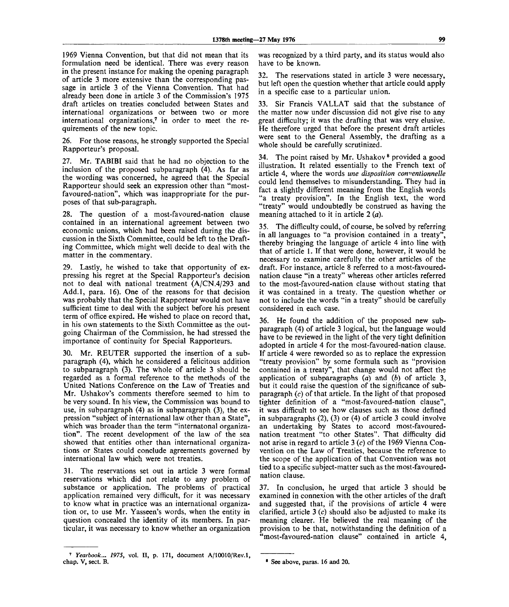1969 Vienna Convention, but that did not mean that its formulation need be identical. There was every reason in the present instance for making the opening paragraph of article 3 more extensive than the corresponding passage in article 3 of the Vienna Convention. That had already been done in article 3 of the Commission's 1975 draft articles on treaties concluded between States and international organizations or between two or more international organizations,<sup>7</sup> in order to meet the requirements of the new topic.

26. For those reasons, he strongly supported the Special Rapporteur's proposal.

27. Mr. TABIBT said that he had no objection to the inclusion of the proposed subparagraph (4). As far as the wording was concerned, he agreed that the Special Rapporteur should seek an expression other than "mostfavoured-nation", which was inappropriate for the purposes of that sub-paragraph.

28. The question of a most-favoured-nation clause contained in an international agreement between two economic unions, which had been raised during the discussion in the Sixth Committee, could be left to the Drafting Committee, which might well decide to deal with the matter in the commentary.

29. Lastly, he wished to take that opportunity of expressing his regret at the Special Rapporteur's decision not to deal with national treatment (A/CN.4/293 and Add.l, para. 16). One of the reasons for that decision was probably that the Special Rapporteur would not have sufficient time to deal with the subject before his present term of office expired. He wished to place on record that, in his own statements to the Sixth Committee as the outgoing Chairman of the Commission, he had stressed the importance of continuity for Special Rapporteurs.

30. Mr. REUTER supported the insertion of a subparagraph (4), which he considered a felicitous addition to subparagraph (3). The whole of article 3 should be regarded as a formal reference to the methods of the United Nations Conference on the Law of Treaties and Mr. Ushakov's comments therefore seemed to him to be very sound. In his view, the Commission was bound to use, in subparagraph (4) as in subparagraph (3), the expression "subject of international law other than a State", which was broader than the term "internatonal organization". The recent development of the law of the sea showed that entities other than international organizations or States could conclude agreements governed by international law which were not treaties.

31. The reservations set out in article 3 were formal reservations which did not relate to any problem of substance or application. The problems of practical application remained very difficult, for it was necessary to know what in practice was an international organization or, to use Mr. Yasseen's words, when the entity in question concealed the identity of its members. In particular, it was necessary to know whether an organization was recognized by a third party, and its status would also have to be known.

32. The reservations stated in article 3 were necessary, but left open the question whether that article could apply in a specific case to a particular union.

33. Sir Francis VALLAT said that the substance of the matter now under discussion did not give rise to any great difficulty; it was the drafting that was very elusive. He therefore urged that before the present draft articles were sent to the General Assembly, the drafting as a whole should be carefully scrutinized.

34. The point raised by Mr. Ushakov<sup>8</sup> provided a good illustration. It related essentially to the French text of article 4, where the words *une disposition conventionnelle* could lend themselves to misunderstanding. They had in fact a slightly different meaning from the English words "a treaty provision". In the English text, the word "treaty" would undoubtedly be construed as having the meaning attached to it in article  $2(a)$ .

35. The difficulty could, of course, be solved by referring in all languages to "a provision contained in a treaty" thereby bringing the language of article 4 into line with that of article 1. If that were done, however, it would be necessary to examine carefully the other articles of the draft. For instance, article 8 referred to a most-favourednation clause "in a treaty" whereas other articles referred to the most-favoured-nation clause without stating that it was contained in a treaty. The question whether or not to include the words "in a treaty" should be carefully considered in each case.

36. He found the addition of the proposed new subparagraph (4) of article 3 logical, but the language would have to be reviewed in the light of the very tight definition adopted in article 4 for the most-favoured-nation clause. If article 4 were reworded so as to replace the expression "treaty provision" by some formula such as "provision contained in a treaty", that change would not affect the application of subparagraphs *(a)* and *(b)* of article 3, but it could raise the question of the significance of subparagraph *(c)* of that article. In the light of that proposed tighter definition of a "most-favoured-nation clause", it was difficult to see how clauses such as those defined in subparagraphs (2), (3) or (4) of article 3 could involve an undertaking by States to accord most-favourednation treatment "to other States". That difficulty did not arise in regard to article 3 (c) of the 1969 Vienna Convention on the Law of Treaties, because the reference to the scope of the application of that Convention was not tied to a specific subject-matter such as the most-favourednation clause.

37. In conclusion, he urged that article 3 should be examined in connexion with the other articles of the draft and suggested that, if the provisions of article 4 were clarified, article 3 *(c)* should also be adjusted to make its meaning clearer. He believed the real meaning of the provision to be that, notwithstanding the definition of a "most-favoured-nation clause" contained in article 4,

<sup>7</sup>  *Yearbook... 1975,* vol. II, p. 171, document A/10010/Rev.l, chap. V, sect. B. • See above, paras. 16 and 20.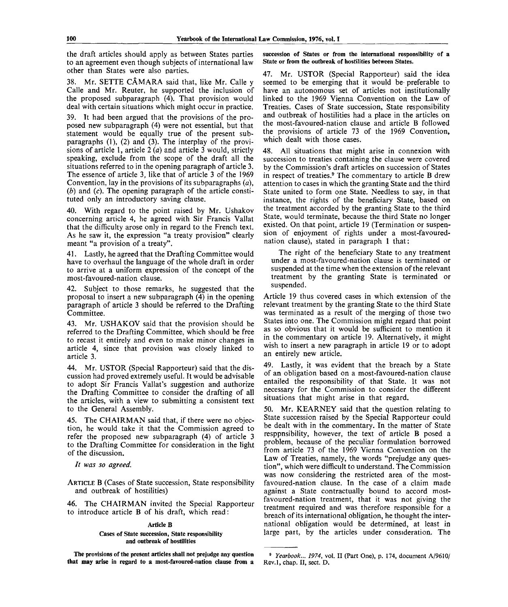the draft articles should apply as between States parties to an agreement even though subjects of international law other than States were also parties.

38. Mr. SETTE CÂMARA said that, like Mr. Calle y Calle and Mr. Reuter, he supported the inclusion of the proposed subparagraph (4). That provision would deal with certain situations which might occur in practice.

39. Tt had been argued that the provisions of the proposed new subparagraph (4) were not essential, but that statement would be equally true of the present subparagraphs (1), (2) and (3). The interplay of the provisions of article 1, article 2 *(a)* and article 3 would, strictly speaking, exclude from the scope of the draft all the situations referred to in the opening paragraph of article 3. The essence of article 3, like that of article 3 of the 1969 Convention, lay in the provisions of its subparagraphs *(a), (b)* and *(c).* The opening paragraph of the article constituted only an introductory saving clause.

40. With regard to the point raised by Mr. Ushakov concerning article 4, he agreed with Sir Francis Vallat that the difficulty arose only in regard to the French text. As he saw it, the expression "a treaty provision" clearly meant "a provision of a treaty".

41. Lastly, he agreed that the Drafting Committee would have to overhaul the language of the whole draft in order to arrive at a uniform expression of the concept of the most-favoured-nation clause.

42. Subject to those remarks, he suggested that the proposal to insert a new subparagraph (4) in the opening paragraph of article 3 should be referred to the Drafting Committee.

43. Mr. USHAKOV said that the provision should be referred to the Drafting Committee, which should be free to recast it entirely and even to make minor changes in article 4, since that provision was closely linked to article 3.

44. Mr. USTOR (Special Rapporteur) said that the discussion had proved extremely useful. It would be advisable to adopt Sir Francis Vallat's suggestion and authorize the Drafting Committee to consider the drafting of all the articles, with a view to submitting a consistent text to the General Assembly.

45. The CHAIRMAN said that, if there were no objection, he would take it that the Commission agreed to refer the proposed new subparagraph (4) of article 3 to the Drafting Committee for consideration in the light of the discussion.

*It was so agreed.*

ARTICLE B (Cases of State succession, State responsibility and outbreak of hostilities)

46. The CHAIRMAN invited the Special Rapporteur to introduce article B of his draft, which read:

#### Article B

Cases of State succession, State responsibility and outbreak of hostilities

The provisions of the present articles shall not prejudge any question **that may** arise in regard to **a** most-favoured-nation clause from a succession of States or from the international responsibility of **a** State or from the outbreak of hostilities between States.

47. Mr. USTOR (Special Rapporteur) said the idea seemed to be emerging that it would be preferable to have an autonomous set of articles not institutionally linked to the 1969 Vienna Convention on the Law of Treaties. Cases of State succession, State responsibility and outbreak of hostilities had a place in the articles on the most-favoured-nation clause and article B followed the provisions of article 73 of the 1969 Convention, which dealt with those cases.

48. All situations that might arise in connexion with succession to treaties containing the clause were covered by the Commission's draft articles on succession of States in respect of treaties.<sup>9</sup> The commentary to article B drew attention to cases in which the granting State and the third State united to form one State. Needless to say, in that instance, the rights of the beneficiary State, based on the treatment accorded by the granting State to the third State, would terminate, because the third State no longer existed. On that point, article 19 (Termination or suspension of enjoyment of rights under a most-favourednation clause), stated in paragraph 1 that:

The right of the beneficiary State to any treatment under a most-favoured-nation clause is terminated or suspended at the time when the extension of the relevant treatment by the granting State is terminated or suspended.

Article 19 thus covered cases in which extension of the relevant treatment by the granting State to the third State was terminated as a result of the merging of those two States into one. The Commission might regard that point as so obvious that it would be sufficient to mention it in the commentary on article 19. Alternatively, it might wish to insert a new paragraph in article 19 or to adopt an entirely new article.

49. Lastly, it was evident that the breach by a State of an obligation based on a most-favoured-nation clause entailed the responsibility of that State. It was not necessary for the Commission to consider the different situations that might arise in that regard.

50. Mr. KEARNEY said that the question relating to State succession raised by the Special Rapporteur could be dealt with in the commentary. In the matter of State resppnsibility, however, the text of article B posed a problem, because of the peculiar formulation borrowed from article 73 of the 1969 Vienna Convention on the Law of Treaties, namely, the words "prejudge any question", which were difficult to understand. The Commission was now considering the restricted area of the mostfavoured-nation clause. In the case of a claim made against a State contractually bound to accord mostfavoured-nation treatment, that it was not giving the treatment required and was therefore responsible for a breach of its international obligation, he thought the international obligation would be determined, at least in large part, by the articles under consideration. The

<sup>9</sup>  *Yearbook... 1974,* vol. II (Part One), p. 174, document A/9610/ Rev.l, chap. II, sect. D.